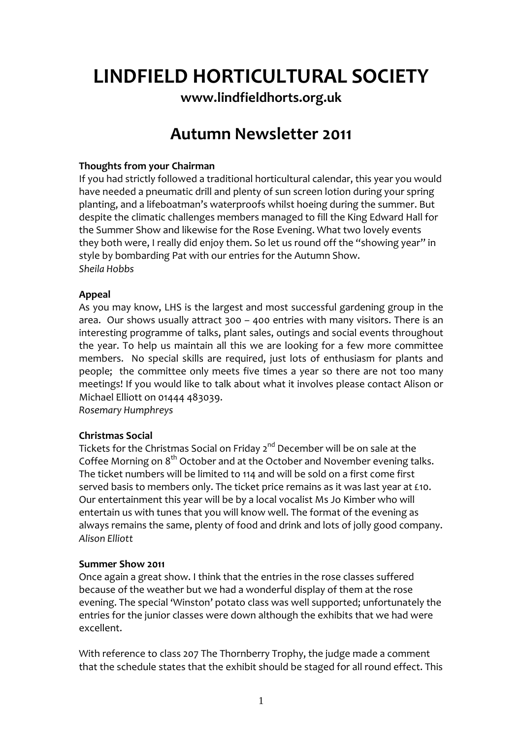# **LINDFIELD HORTICULTURAL SOCIETY**

**[www.lindfieldhorts.org.uk](http://www.lindfieldhorts.org.uk/)**

# **Autumn Newsletter 2011**

# **Thoughts from your Chairman**

If you had strictly followed a traditional horticultural calendar, this year you would have needed a pneumatic drill and plenty of sun screen lotion during your spring planting, and a lifeboatman's waterproofs whilst hoeing during the summer. But despite the climatic challenges members managed to fill the King Edward Hall for the Summer Show and likewise for the Rose Evening. What two lovely events they both were, I really did enjoy them. So let us round off the "showing year" in style by bombarding Pat with our entries for the Autumn Show. *Sheila Hobbs*

# **Appeal**

As you may know, LHS is the largest and most successful gardening group in the area. Our shows usually attract 300 – 400 entries with many visitors. There is an interesting programme of talks, plant sales, outings and social events throughout the year. To help us maintain all this we are looking for a few more committee members. No special skills are required, just lots of enthusiasm for plants and people; the committee only meets five times a year so there are not too many meetings! If you would like to talk about what it involves please contact Alison or Michael Elliott on 01444 483039.

*Rosemary Humphreys*

# **Christmas Social**

Tickets for the Christmas Social on Friday 2<sup>nd</sup> December will be on sale at the Coffee Morning on 8<sup>th</sup> October and at the October and November evening talks. The ticket numbers will be limited to 114 and will be sold on a first come first served basis to members only. The ticket price remains as it was last year at £10. Our entertainment this year will be by a local vocalist Ms Jo Kimber who will entertain us with tunes that you will know well. The format of the evening as always remains the same, plenty of food and drink and lots of jolly good company. *Alison Elliott*

#### **Summer Show 2011**

Once again a great show. I think that the entries in the rose classes suffered because of the weather but we had a wonderful display of them at the rose evening. The special 'Winston' potato class was well supported; unfortunately the entries for the junior classes were down although the exhibits that we had were excellent.

With reference to class 207 The Thornberry Trophy, the judge made a comment that the schedule states that the exhibit should be staged for all round effect. This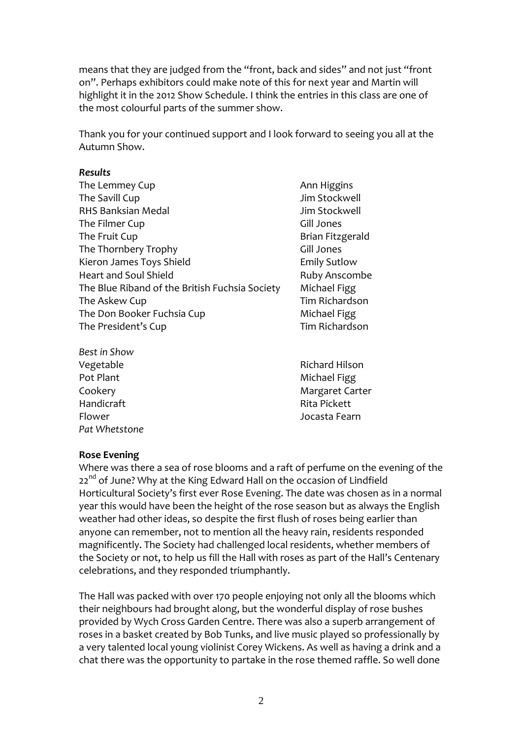means that they are judged from the "front, back and sides" and not just "front on". Perhaps exhibitors could make note of this for next year and Martin will highlight it in the 2012 Show Schedule. I think the entries in this class are one of the most colourful parts of the summer show.

Thank you for your continued support and I look forward to seeing you all at the Autumn Show.

#### *Results*

| The Lemmey Cup                                 |
|------------------------------------------------|
| The Savill Cup                                 |
| <b>RHS Banksian Medal</b>                      |
| The Filmer Cup                                 |
| The Fruit Cup                                  |
| The Thornbery Trophy                           |
| Kieron James Toys Shield                       |
| Heart and Soul Shield                          |
| The Blue Riband of the British Fuchsia Society |
| The Askew Cup                                  |
| The Don Booker Fuchsia Cup                     |
| The President's Cup                            |
|                                                |

*Best in Show* Pot Plant **Michael Figg** Handicraft Rita Pickett Flower Jocasta Fearn *Pat Whetstone*

Ann Higgins Jim Stockwell Jim Stockwell Gill Jones Brian Fitzgerald Gill Jones Emily Sutlow Ruby Anscombe Michael Figg Tim Richardson Michael Figg Tim Richardson

Vegetable **The Contract of Contract Contract Contract Contract Contract Contract Contract Contract Contract Contract Contract Contract Contract Contract Contract Contract Contract Contract Contract Contract Contract Contra** Cookery **Cookery 1999** Cookery *Margaret Carter* 

#### **Rose Evening**

Where was there a sea of rose blooms and a raft of perfume on the evening of the 22<sup>nd</sup> of June? Why at the King Edward Hall on the occasion of Lindfield Horticultural Society's first ever Rose Evening. The date was chosen as in a normal year this would have been the height of the rose season but as always the English weather had other ideas, so despite the first flush of roses being earlier than anyone can remember, not to mention all the heavy rain, residents responded magnificently. The Society had challenged local residents, whether members of the Society or not, to help us fill the Hall with roses as part of the Hall's Centenary celebrations, and they responded triumphantly.

The Hall was packed with over 170 people enjoying not only all the blooms which their neighbours had brought along, but the wonderful display of rose bushes provided by Wych Cross Garden Centre. There was also a superb arrangement of roses in a basket created by Bob Tunks, and live music played so professionally by a very talented local young violinist Corey Wickens. As well as having a drink and a chat there was the opportunity to partake in the rose themed raffle. So well done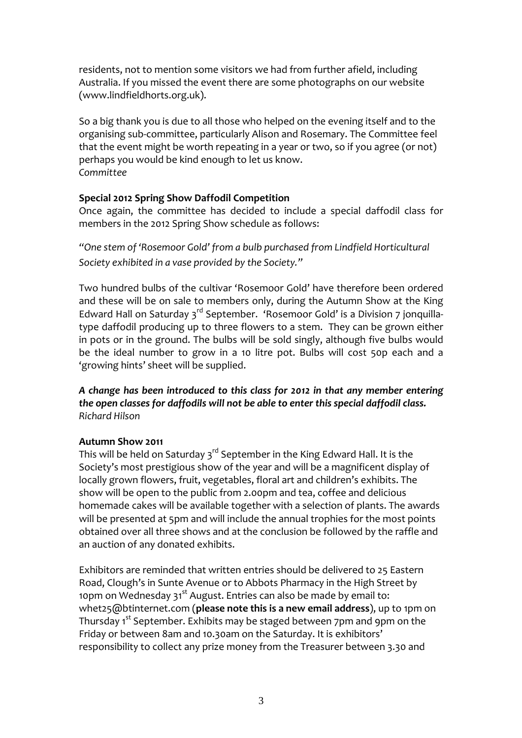residents, not to mention some visitors we had from further afield, including Australia. If you missed the event there are some photographs on our website [\(www.lindfieldhorts.org.uk](http://www.lindfieldhorts.org.uk/)).

So a big thank you is due to all those who helped on the evening itself and to the organising sub‐committee, particularly Alison and Rosemary. The Committee feel that the event might be worth repeating in a year or two, so if you agree (or not) perhaps you would be kind enough to let us know. *Committee*

#### **Special 2012 Spring Show Daffodil Competition**

Once again, the committee has decided to include a special daffodil class for members in the 2012 Spring Show schedule as follows:

*"One stem of 'Rosemoor Gold' from a bulb purchased from Lindfield Horticultural Society exhibited in a vase provided by the Society."*

Two hundred bulbs of the cultivar 'Rosemoor Gold' have therefore been ordered and these will be on sale to members only, during the Autumn Show at the King Edward Hall on Saturday 3<sup>rd</sup> September. 'Rosemoor Gold' is a Division 7 jonguillatype daffodil producing up to three flowers to a stem. They can be grown either in pots or in the ground. The bulbs will be sold singly, although five bulbs would be the ideal number to grow in a 10 litre pot. Bulbs will cost 50p each and a 'growing hints' sheet will be supplied.

*A change has been introduced to this class for 2012 in that any member entering the open classes for daffodils will not be able to enter this special daffodil class. Richard Hilson*

#### **Autumn Show 2011**

This will be held on Saturday 3<sup>rd</sup> September in the King Edward Hall. It is the Society's most prestigious show of the year and will be a magnificent display of locally grown flowers, fruit, vegetables, floral art and children's exhibits. The show will be open to the public from 2.00pm and tea, coffee and delicious homemade cakes will be available together with a selection of plants. The awards will be presented at 5pm and will include the annual trophies for the most points obtained over all three shows and at the conclusion be followed by the raffle and an auction of any donated exhibits.

Exhibitors are reminded that written entries should be delivered to 25 Eastern Road, Clough's in Sunte Avenue or to Abbots Pharmacy in the High Street by 10pm on Wednesday 31<sup>st</sup> August. Entries can also be made by email to: [whet25@btinternet.com](mailto:whet25@btinternet.com) (**please note this is a new email address**), up to 1pm on Thursday 1<sup>st</sup> September. Exhibits may be staged between 7pm and 9pm on the Friday or between 8am and 10.30am on the Saturday. It is exhibitors' responsibility to collect any prize money from the Treasurer between 3.30 and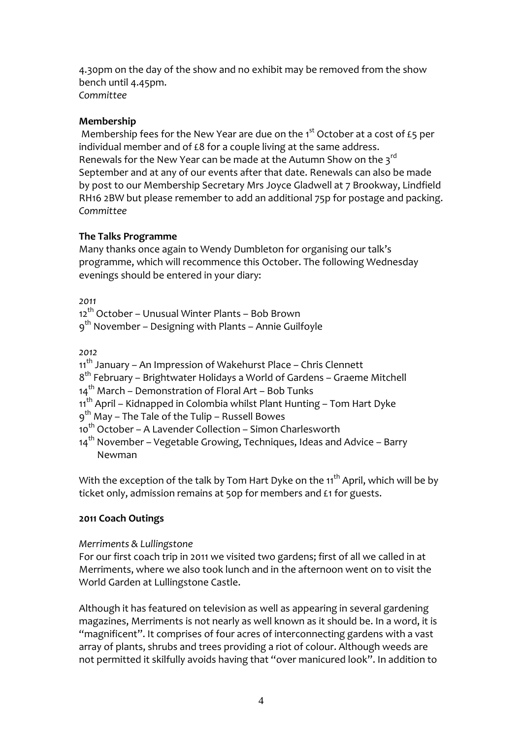4.30pm on the day of the show and no exhibit may be removed from the show bench until 4.45pm. *Committee*

#### **Membership**

Membership fees for the New Year are due on the  $1<sup>st</sup>$  October at a cost of £5 per individual member and of £8 for a couple living at the same address. Renewals for the New Year can be made at the Autumn Show on the 3rd September and at any of our events after that date. Renewals can also be made by post to our Membership Secretary Mrs Joyce Gladwell at 7 Brookway, Lindfield RH16 2BW but please remember to add an additional 75p for postage and packing. *Committee*

#### **The Talks Programme**

Many thanks once again to Wendy Dumbleton for organising our talk's programme, which will recommence this October. The following Wednesday evenings should be entered in your diary:

*2011*

12<sup>th</sup> October – Unusual Winter Plants – Bob Brown

9<sup>th</sup> November – Designing with Plants – Annie Guilfoyle

*2012*

11<sup>th</sup> January – An Impression of Wakehurst Place – Chris Clennett

 $8<sup>th</sup>$  February – Brightwater Holidays a World of Gardens – Graeme Mitchell

 $14<sup>th</sup>$  March – Demonstration of Floral Art – Bob Tunks

11<sup>th</sup> April – Kidnapped in Colombia whilst Plant Hunting – Tom Hart Dyke

9th May – The Tale of the Tulip – Russell Bowes

10<sup>th</sup> October – A Lavender Collection – Simon Charlesworth

 $14<sup>th</sup>$  November – Vegetable Growing, Techniques, Ideas and Advice – Barry Newman

With the exception of the talk by Tom Hart Dyke on the  $11<sup>th</sup>$  April, which will be by ticket only, admission remains at 50p for members and £1 for guests.

# **2011 Coach Outings**

# *Merriments & Lullingstone*

For our first coach trip in 2011 we visited two gardens; first of all we called in at Merriments, where we also took lunch and in the afternoon went on to visit the World Garden at Lullingstone Castle.

Although it has featured on television as well as appearing in several gardening magazines, Merriments is not nearly as well known as it should be. In a word, it is "magnificent". It comprises of four acres of interconnecting gardens with a vast array of plants, shrubs and trees providing a riot of colour. Although weeds are not permitted it skilfully avoids having that "over manicured look". In addition to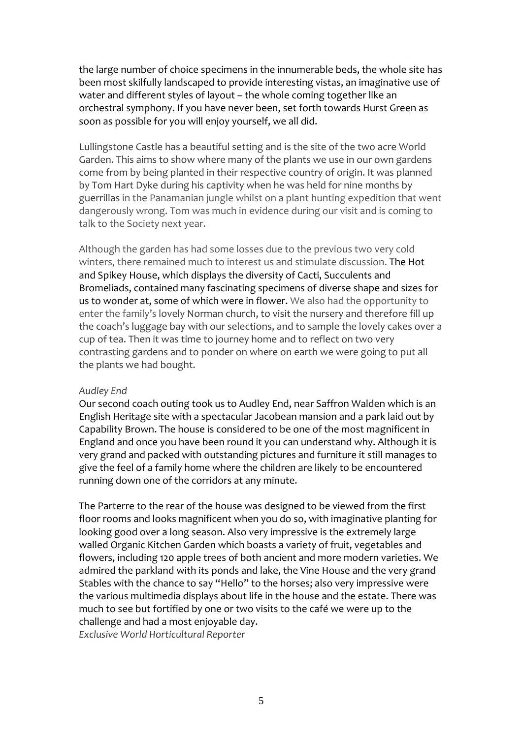the large number of choice specimens in the innumerable beds, the whole site has been most skilfully landscaped to provide interesting vistas, an imaginative use of water and different styles of layout – the whole coming together like an orchestral symphony. If you have never been, set forth towards Hurst Green as soon as possible for you will enjoy yourself, we all did.

Lullingstone Castle has a beautiful setting and is the site of the two acre World Garden. This aims to show where many of the plants we use in our own gardens come from by being planted in their respective country of origin. It was planned by Tom Hart Dyke during his captivity when he was held for nine months by guerrillas in the Panamanian jungle whilst on a plant hunting expedition that went dangerously wrong. Tom was much in evidence during our visit and is coming to talk to the Society next year.

Although the garden has had some losses due to the previous two very cold winters, there remained much to interest us and stimulate discussion. The Hot and Spikey House, which displays the diversity of Cacti, Succulents and Bromeliads, contained many fascinating specimens of diverse shape and sizes for us to wonder at, some of which were in flower. We also had the opportunity to enter the family's lovely Norman church, to visit the nursery and therefore fill up the coach's luggage bay with our selections, and to sample the lovely cakes over a cup of tea. Then it was time to journey home and to reflect on two very contrasting gardens and to ponder on where on earth we were going to put all the plants we had bought.

#### *Audley End*

Our second coach outing took us to Audley End, near Saffron Walden which is an English Heritage site with a spectacular Jacobean mansion and a park laid out by Capability Brown. The house is considered to be one of the most magnificent in England and once you have been round it you can understand why. Although it is very grand and packed with outstanding pictures and furniture it still manages to give the feel of a family home where the children are likely to be encountered running down one of the corridors at any minute.

The Parterre to the rear of the house was designed to be viewed from the first floor rooms and looks magnificent when you do so, with imaginative planting for looking good over a long season. Also very impressive is the extremely large walled Organic Kitchen Garden which boasts a variety of fruit, vegetables and flowers, including 120 apple trees of both ancient and more modern varieties. We admired the parkland with its ponds and lake, the Vine House and the very grand Stables with the chance to say "Hello" to the horses; also very impressive were the various multimedia displays about life in the house and the estate. There was much to see but fortified by one or two visits to the café we were up to the challenge and had a most enjoyable day.

*Exclusive World Horticultural Reporter*